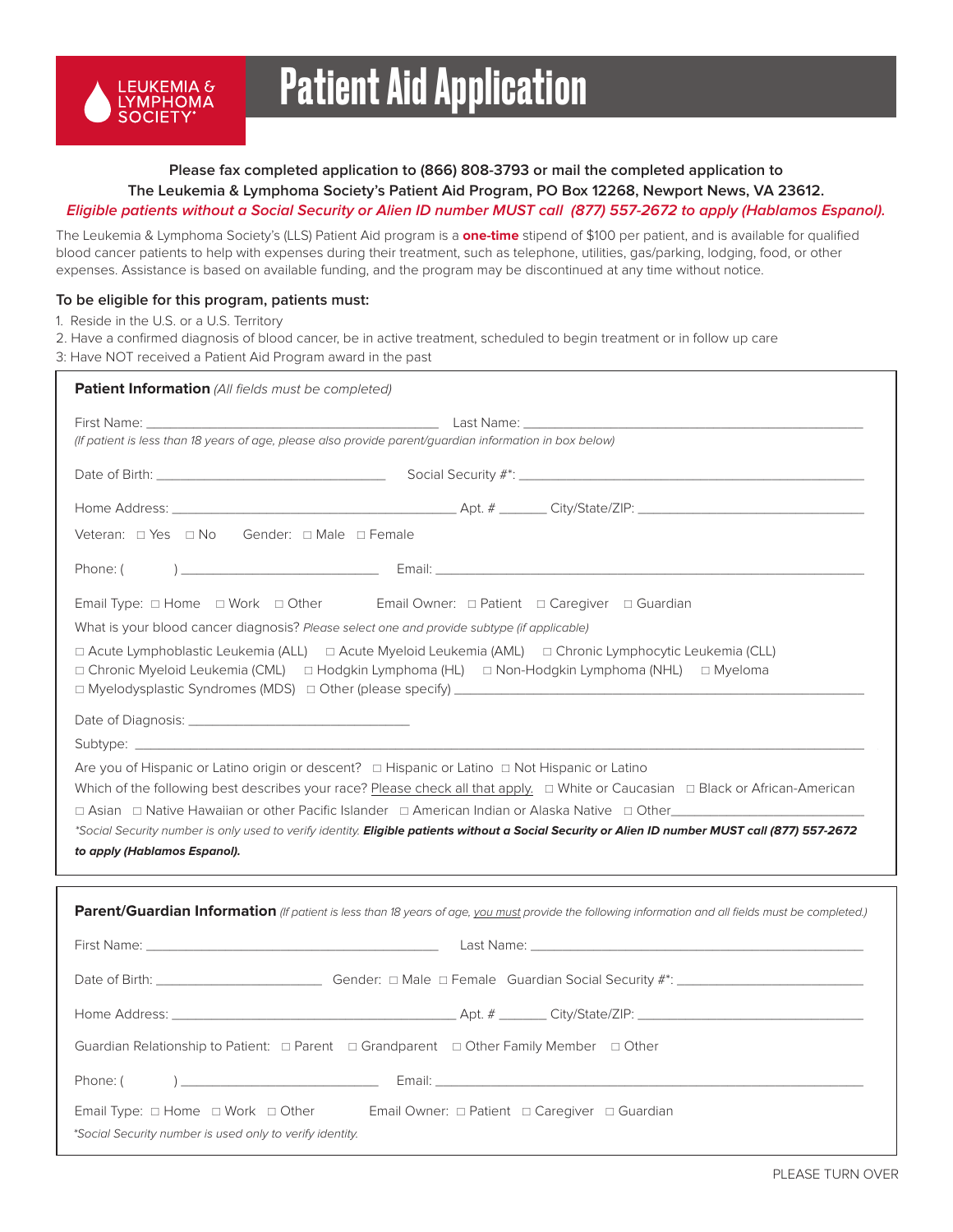

# Patient Aid Application

## **Please fax completed application to (866) 808-3793 or mail the completed application to The Leukemia & Lymphoma Society's Patient Aid Program, PO Box 12268, Newport News, VA 23612. Eligible patients without a Social Security or Alien ID number MUST call (877) 557-2672 to apply (Hablamos Espanol).**

The Leukemia & Lymphoma Society's (LLS) Patient Aid program is a **one-time** stipend of \$100 per patient, and is available for qualified blood cancer patients to help with expenses during their treatment, such as telephone, utilities, gas/parking, lodging, food, or other expenses. Assistance is based on available funding, and the program may be discontinued at any time without notice.

### **To be eligible for this program, patients must:**

1. Reside in the U.S. or a U.S. Territory

2. Have a confirmed diagnosis of blood cancer, be in active treatment, scheduled to begin treatment or in follow up care 3: Have NOT received a Patient Aid Program award in the past

| Patient Information (All fields must be completed)                                                                                                                                                                            |
|-------------------------------------------------------------------------------------------------------------------------------------------------------------------------------------------------------------------------------|
| First Name: The Communication of the Communication of the Communication of the Communication of the Communication of the Communication of the Communication of the Communication of the Communication of the Communication of |
| (If patient is less than 18 years of age, please also provide parent/guardian information in box below)                                                                                                                       |
|                                                                                                                                                                                                                               |
|                                                                                                                                                                                                                               |
|                                                                                                                                                                                                                               |
| Phone: (                                                                                                                                                                                                                      |
| Email Type: $\Box$ Home $\Box$ Work $\Box$ Other Email Owner: $\Box$ Patient $\Box$ Caregiver $\Box$ Guardian                                                                                                                 |
| What is your blood cancer diagnosis? Please select one and provide subtype (if applicable)                                                                                                                                    |
| □ Acute Lymphoblastic Leukemia (ALL) □ Acute Myeloid Leukemia (AML) □ Chronic Lymphocytic Leukemia (CLL)<br>□ Chronic Myeloid Leukemia (CML) □ Hodgkin Lymphoma (HL) □ Non-Hodgkin Lymphoma (NHL) □ Myeloma                   |
|                                                                                                                                                                                                                               |
|                                                                                                                                                                                                                               |
|                                                                                                                                                                                                                               |
| □ Asian □ Native Hawaiian or other Pacific Islander □ American Indian or Alaska Native □ Other                                                                                                                                |
| *Social Security number is only used to verify identity. <b>Eligible patients without a Social Security or Alien ID number MUST call (877) 557-2672</b>                                                                       |
| to apply (Hablamos Espanol).                                                                                                                                                                                                  |
|                                                                                                                                                                                                                               |
| Parent/Guardian Information (If patient is less than 18 years of age, you must provide the following information and all fields must be completed.)                                                                           |
|                                                                                                                                                                                                                               |
|                                                                                                                                                                                                                               |
|                                                                                                                                                                                                                               |
| Guardian Relationship to Patient: □ Parent □ Grandparent □ Other Family Member □ Other                                                                                                                                        |
| Phone: (                                                                                                                                                                                                                      |
| Email Type: □ Home □ Work □ Other Email Owner: □ Patient □ Caregiver □ Guardian                                                                                                                                               |
| *Social Security number is used only to verify identity.                                                                                                                                                                      |